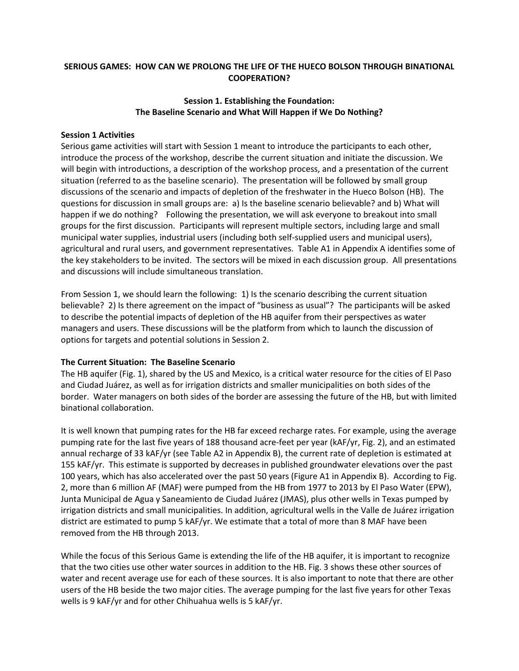# **SERIOUS GAMES: HOW CAN WE PROLONG THE LIFE OF THE HUECO BOLSON THROUGH BINATIONAL COOPERATION?**

## **Session 1. Establishing the Foundation: The Baseline Scenario and What Will Happen if We Do Nothing?**

### **Session 1 Activities**

Serious game activities will start with Session 1 meant to introduce the participants to each other, introduce the process of the workshop, describe the current situation and initiate the discussion. We will begin with introductions, a description of the workshop process, and a presentation of the current situation (referred to as the baseline scenario). The presentation will be followed by small group discussions of the scenario and impacts of depletion of the freshwater in the Hueco Bolson (HB). The questions for discussion in small groups are: a) Is the baseline scenario believable? and b) What will happen if we do nothing? Following the presentation, we will ask everyone to breakout into small groups for the first discussion. Participants will represent multiple sectors, including large and small municipal water supplies, industrial users (including both self-supplied users and municipal users), agricultural and rural users, and government representatives. Table A1 in Appendix A identifies some of the key stakeholders to be invited. The sectors will be mixed in each discussion group. All presentations and discussions will include simultaneous translation.

From Session 1, we should learn the following: 1) Is the scenario describing the current situation believable? 2) Is there agreement on the impact of "business as usual"? The participants will be asked to describe the potential impacts of depletion of the HB aquifer from their perspectives as water managers and users. These discussions will be the platform from which to launch the discussion of options for targets and potential solutions in Session 2.

#### **The Current Situation: The Baseline Scenario**

The HB aquifer (Fig. 1), shared by the US and Mexico, is a critical water resource for the cities of El Paso and Ciudad Juárez, as well as for irrigation districts and smaller municipalities on both sides of the border. Water managers on both sides of the border are assessing the future of the HB, but with limited binational collaboration.

It is well known that pumping rates for the HB far exceed recharge rates. For example, using the average pumping rate for the last five years of 188 thousand acre-feet per year (kAF/yr, Fig. 2), and an estimated annual recharge of 33 kAF/yr (see Table A2 in Appendix B), the current rate of depletion is estimated at 155 kAF/yr. This estimate is supported by decreases in published groundwater elevations over the past 100 years, which has also accelerated over the past 50 years (Figure A1 in Appendix B). According to Fig. 2, more than 6 million AF (MAF) were pumped from the HB from 1977 to 2013 by El Paso Water (EPW), Junta Municipal de Agua y Saneamiento de Ciudad Juárez (JMAS), plus other wells in Texas pumped by irrigation districts and small municipalities. In addition, agricultural wells in the Valle de Juárez irrigation district are estimated to pump 5 kAF/yr. We estimate that a total of more than 8 MAF have been removed from the HB through 2013.

While the focus of this Serious Game is extending the life of the HB aquifer, it is important to recognize that the two cities use other water sources in addition to the HB. Fig. 3 shows these other sources of water and recent average use for each of these sources. It is also important to note that there are other users of the HB beside the two major cities. The average pumping for the last five years for other Texas wells is 9 kAF/yr and for other Chihuahua wells is 5 kAF/yr.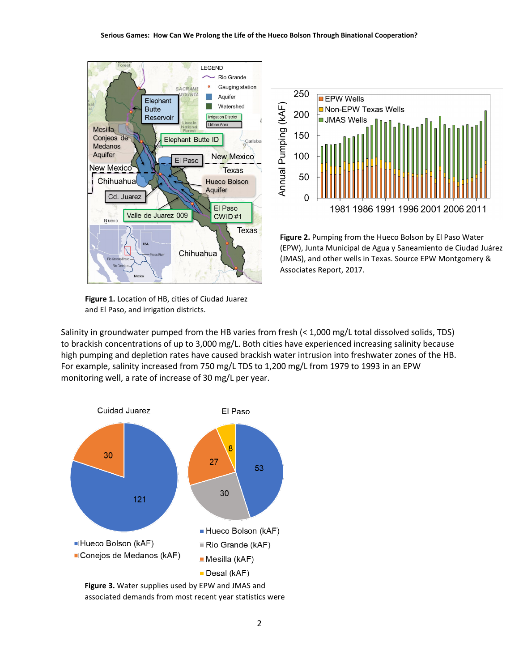

**Figure 1.** Location of HB, cities of Ciudad Juarez and El Paso, and irrigation districts.



**Figure 2.** Pumping from the Hueco Bolson by El Paso Water (EPW), Junta Municipal de Agua y Saneamiento de Ciudad Juárez (JMAS), and other wells in Texas. Source EPW Montgomery & Associates Report, 2017.

Salinity in groundwater pumped from the HB varies from fresh (< 1,000 mg/L total dissolved solids, TDS) to brackish concentrations of up to 3,000 mg/L. Both cities have experienced increasing salinity because high pumping and depletion rates have caused brackish water intrusion into freshwater zones of the HB. For example, salinity increased from 750 mg/L TDS to 1,200 mg/L from 1979 to 1993 in an EPW monitoring well, a rate of increase of 30 mg/L per year.



associated demands from most recent year statistics were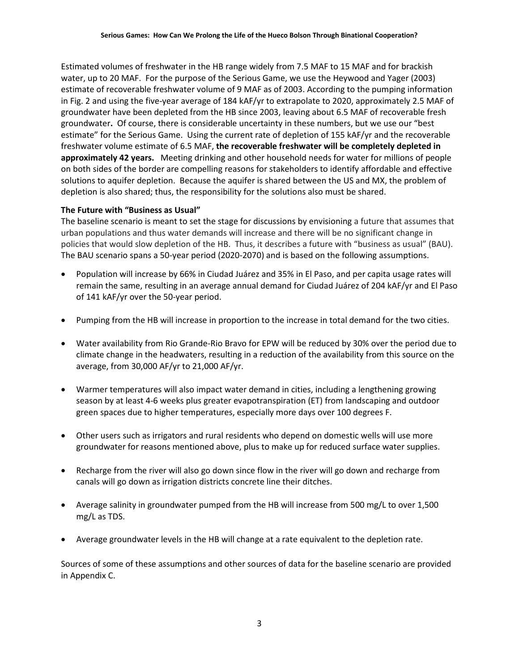Estimated volumes of freshwater in the HB range widely from 7.5 MAF to 15 MAF and for brackish water, up to 20 MAF. For the purpose of the Serious Game, we use the Heywood and Yager (2003) estimate of recoverable freshwater volume of 9 MAF as of 2003. According to the pumping information in Fig. 2 and using the five-year average of 184 kAF/yr to extrapolate to 2020, approximately 2.5 MAF of groundwater have been depleted from the HB since 2003, leaving about 6.5 MAF of recoverable fresh groundwater**.** Of course, there is considerable uncertainty in these numbers, but we use our "best estimate" for the Serious Game. Using the current rate of depletion of 155 kAF/yr and the recoverable freshwater volume estimate of 6.5 MAF, **the recoverable freshwater will be completely depleted in approximately 42 years.** Meeting drinking and other household needs for water for millions of people on both sides of the border are compelling reasons for stakeholders to identify affordable and effective solutions to aquifer depletion. Because the aquifer is shared between the US and MX, the problem of depletion is also shared; thus, the responsibility for the solutions also must be shared.

### **The Future with "Business as Usual"**

The baseline scenario is meant to set the stage for discussions by envisioning a future that assumes that urban populations and thus water demands will increase and there will be no significant change in policies that would slow depletion of the HB. Thus, it describes a future with "business as usual" (BAU). The BAU scenario spans a 50-year period (2020-2070) and is based on the following assumptions.

- Population will increase by 66% in Ciudad Juárez and 35% in El Paso, and per capita usage rates will remain the same, resulting in an average annual demand for Ciudad Juárez of 204 kAF/yr and El Paso of 141 kAF/yr over the 50-year period.
- Pumping from the HB will increase in proportion to the increase in total demand for the two cities.
- Water availability from Rio Grande-Rio Bravo for EPW will be reduced by 30% over the period due to climate change in the headwaters, resulting in a reduction of the availability from this source on the average, from 30,000 AF/yr to 21,000 AF/yr.
- Warmer temperatures will also impact water demand in cities, including a lengthening growing season by at least 4-6 weeks plus greater evapotranspiration (ET) from landscaping and outdoor green spaces due to higher temperatures, especially more days over 100 degrees F.
- Other users such as irrigators and rural residents who depend on domestic wells will use more groundwater for reasons mentioned above, plus to make up for reduced surface water supplies.
- Recharge from the river will also go down since flow in the river will go down and recharge from canals will go down as irrigation districts concrete line their ditches.
- Average salinity in groundwater pumped from the HB will increase from 500 mg/L to over 1,500 mg/L as TDS.
- Average groundwater levels in the HB will change at a rate equivalent to the depletion rate.

Sources of some of these assumptions and other sources of data for the baseline scenario are provided in Appendix C.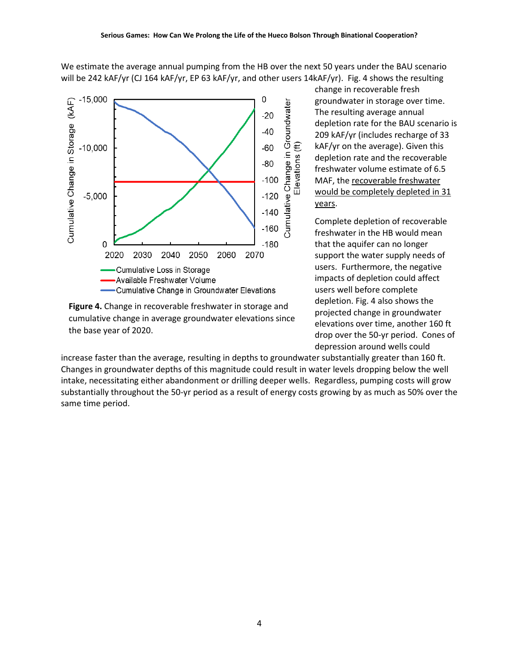We estimate the average annual pumping from the HB over the next 50 years under the BAU scenario will be 242 kAF/yr (CJ 164 kAF/yr, EP 63 kAF/yr, and other users 14kAF/yr). Fig. 4 shows the resulting



**Figure 4.** Change in recoverable freshwater in storage and cumulative change in average groundwater elevations since the base year of 2020.

change in recoverable fresh groundwater in storage over time. The resulting average annual depletion rate for the BAU scenario is 209 kAF/yr (includes recharge of 33 kAF/yr on the average). Given this depletion rate and the recoverable freshwater volume estimate of 6.5 MAF, the recoverable freshwater would be completely depleted in 31 years.

Complete depletion of recoverable freshwater in the HB would mean that the aquifer can no longer support the water supply needs of users. Furthermore, the negative impacts of depletion could affect users well before complete depletion. Fig. 4 also shows the projected change in groundwater elevations over time, another 160 ft drop over the 50-yr period. Cones of depression around wells could

increase faster than the average, resulting in depths to groundwater substantially greater than 160 ft. Changes in groundwater depths of this magnitude could result in water levels dropping below the well intake, necessitating either abandonment or drilling deeper wells. Regardless, pumping costs will grow substantially throughout the 50-yr period as a result of energy costs growing by as much as 50% over the same time period.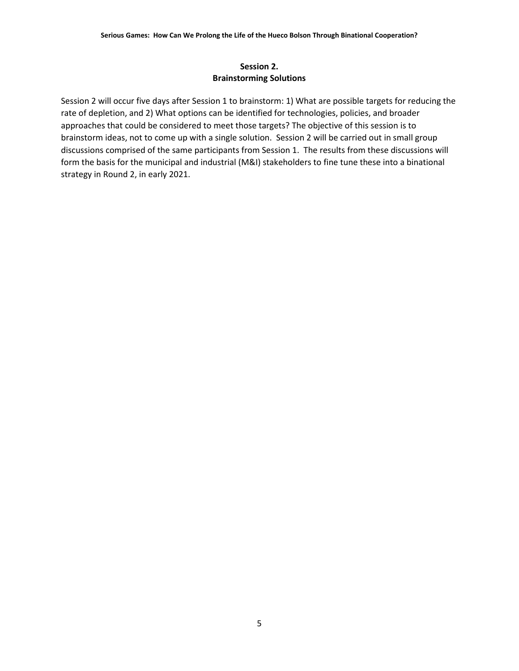# **Session 2. Brainstorming Solutions**

Session 2 will occur five days after Session 1 to brainstorm: 1) What are possible targets for reducing the rate of depletion, and 2) What options can be identified for technologies, policies, and broader approaches that could be considered to meet those targets? The objective of this session is to brainstorm ideas, not to come up with a single solution. Session 2 will be carried out in small group discussions comprised of the same participants from Session 1. The results from these discussions will form the basis for the municipal and industrial (M&I) stakeholders to fine tune these into a binational strategy in Round 2, in early 2021.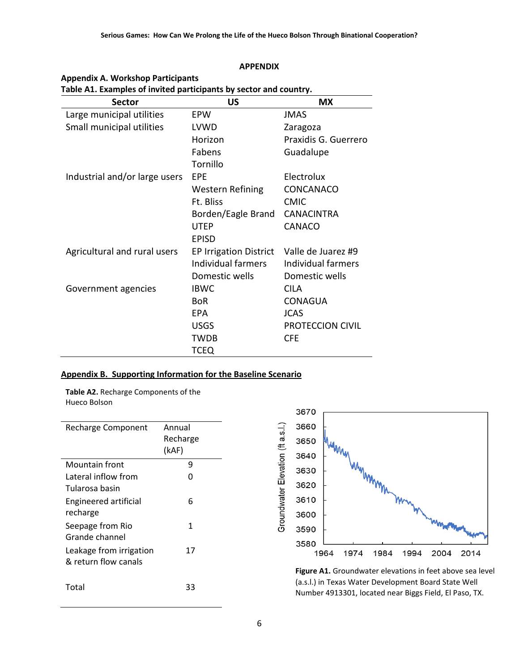| Table A1. Examples of invited participants by sector and country. |                               |                      |  |
|-------------------------------------------------------------------|-------------------------------|----------------------|--|
| <b>Sector</b>                                                     | <b>US</b>                     | МX                   |  |
| Large municipal utilities                                         | EPW                           | <b>JMAS</b>          |  |
| Small municipal utilities                                         | LVWD                          | Zaragoza             |  |
|                                                                   | Horizon                       | Praxidis G. Guerrero |  |
|                                                                   | Fabens                        | Guadalupe            |  |
|                                                                   | Tornillo                      |                      |  |
| Industrial and/or large users                                     | EPE                           | Electrolux           |  |
|                                                                   | Western Refining              | CONCANACO            |  |
|                                                                   | Ft. Bliss                     | <b>CMIC</b>          |  |
|                                                                   | Borden/Eagle Brand            | <b>CANACINTRA</b>    |  |
|                                                                   | <b>UTEP</b>                   | CANACO               |  |
|                                                                   | <b>EPISD</b>                  |                      |  |
| Agricultural and rural users                                      | <b>EP Irrigation District</b> | Valle de Juarez #9   |  |
|                                                                   | Individual farmers            | Individual farmers   |  |
|                                                                   | Domestic wells                | Domestic wells       |  |
| Government agencies                                               | <b>IBWC</b>                   | <b>CILA</b>          |  |
|                                                                   | <b>BoR</b>                    | <b>CONAGUA</b>       |  |
|                                                                   | EPA                           | <b>JCAS</b>          |  |
|                                                                   | <b>USGS</b>                   | PROTECCION CIVIL     |  |
|                                                                   | <b>TWDB</b>                   | <b>CFE</b>           |  |
|                                                                   | <b>TCEQ</b>                   |                      |  |

# **APPENDIX**

### **Appendix B. Supporting Information for the Baseline Scenario**

**Table A2.** Recharge Components of the Hueco Bolson

**Appendix A. Workshop Participants**

| <b>Recharge Component</b>    | Annual<br>Recharge<br>(kAF) |
|------------------------------|-----------------------------|
| Mountain front               | 9                           |
| Lateral inflow from          | n                           |
| Tularosa basin               |                             |
| <b>Engineered artificial</b> | 6                           |
| recharge                     |                             |
| Seepage from Rio             | 1                           |
| Grande channel               |                             |
| Leakage from irrigation      | 17                          |
| & return flow canals         |                             |
| Total                        | 33                          |



**Figure A1.** Groundwater elevations in feet above sea level (a.s.l.) in Texas Water Development Board State Well Number 4913301, located near Biggs Field, El Paso, TX.